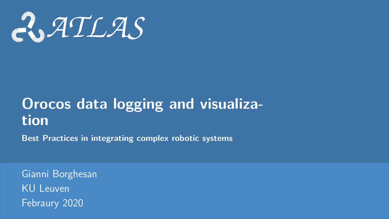<span id="page-0-0"></span>

# **Orocos data logging and visualization**

**Best Practices in integrating complex robotic systems**

Gianni Borghesan KU Leuven Febraury 2020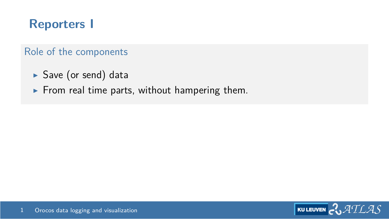## **Reporters I**

#### Role of the components

- $\blacktriangleright$  Save (or send) data
- $\blacktriangleright$  From real time parts, without hampering them.

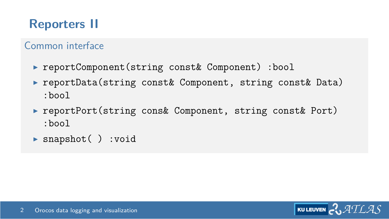## **Reporters II**

#### Common interface

- ▶ reportComponent(string const& Component) :bool
- ▶ reportData(string const& Component, string const& Data) :bool
- ▶ reportPort(string cons& Component, string const& Port) :bool
- $\triangleright$  snapshot( ) :void

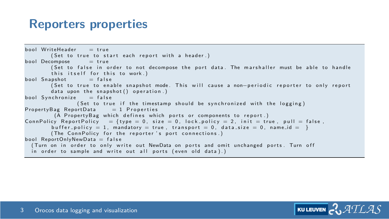#### **Reporters properties**

```
b ool Write Header = true
        (Set to true to start each report with a header.)
b ool Decompose = true
        (Set to false in order to not decompose the port data. The marshaller must be able to handle
        this itself for this to work.)<br>upshot - false
bool Snapshot
        ( Set to true to enable snapshot mode. This will cause a non-periodic reporter to only report
        data upon the snapshot () operation ()bool Synchronize = false( Set to true if the timestamp should be synchronized with the logging )<br>ortData = 1 Properties
Property Bag Report Data
         (A PropertyBag which defines which ports or components to report.)
ConnPolicy ReportPolicy = {type = 0, size = 0, lock policy = 2, init = true, pull = false,
        buffer policy = 1, mandatory = true, transport = 0, data size = 0, name id = }
        (The ConnPolicy for the reporter's port connections.)
bool ReportOnlyNewData = false
  (Turn on in order to only write out NewData on ports and omit unchanged ports. Turn off
  in order to sample and write out all ports (even old data).)
```
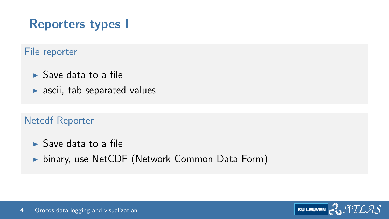## **Reporters types I**

#### File reporter

- $\blacktriangleright$  Save data to a file
- $\blacktriangleright$  ascii, tab separated values

#### Netcdf Reporter

- $\blacktriangleright$  Save data to a file
- $\triangleright$  binary, use NetCDF (Network Common Data Form)

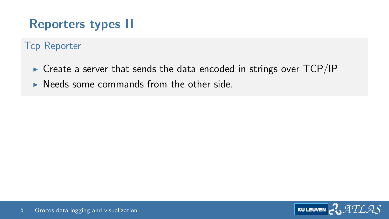## **Reporters types II**

#### Tcp Reporter

- $\triangleright$  Create a server that sends the data encoded in strings over TCP/IP
- I Needs some commands from the other side

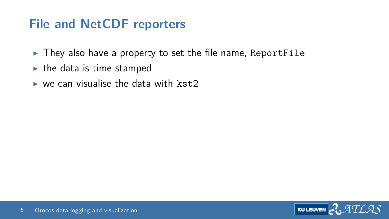#### **File and NetCDF reporters**

- $\triangleright$  They also have a property to set the file name, ReportFile
- $\blacktriangleright$  the data is time stamped
- $\triangleright$  we can visualise the data with kst.2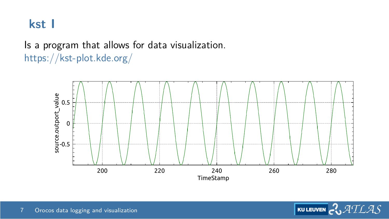#### **kst I**

#### Is a program that allows for data visualization. <https://kst-plot.kde.org/>

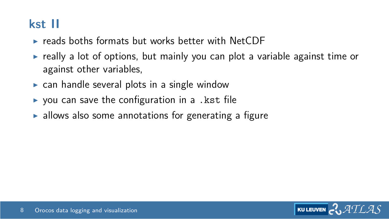## **kst II**

- $\triangleright$  reads boths formats but works better with NetCDF
- $\triangleright$  really a lot of options, but mainly you can plot a variable against time or against other variables,
- $\triangleright$  can handle several plots in a single window
- $\triangleright$  you can save the configuration in a . kst file
- $\blacktriangleright$  allows also some annotations for generating a figure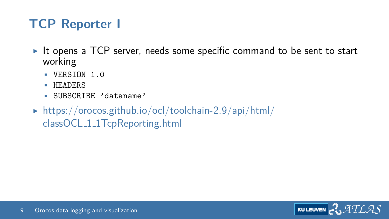## **TCP Reporter I**

- It opens a TCP server, needs some specific command to be sent to start working
	- VERSION 1.0
	- HEADERS
	- SUBSCRIBE 'dataname'
- $\triangleright$  [https://orocos.github.io/ocl/toolchain-2.9/api/html/](https://orocos.github.io/ocl/toolchain-2.9/api/html/classOCL_1_1TcpReporting.html) classOCL 1 [1TcpReporting.html](https://orocos.github.io/ocl/toolchain-2.9/api/html/classOCL_1_1TcpReporting.html)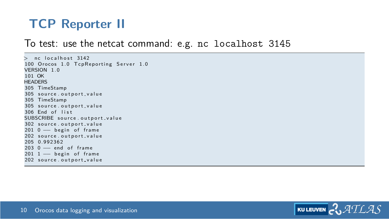## **TCP Reporter II**

#### To test: use the netcat command: e.g. nc localhost 3145

 $nc$  localhost  $3142$ 100 Orocos 1.0 TcpReporting Server 1.0 VERSION 1 0 101 OK **HEADERS** 305 TimeStamp 305 source outport-value 305 TimeStamp 305 source outport-value  $306$  End of list SUBSCRIBE source outport value 302 source outport-value 201 0 - begin of frame 202 source.outport\_value 205 0.992362 203 0 - end of frame  $2011 -$  begin of frame 202 source.outport\_value

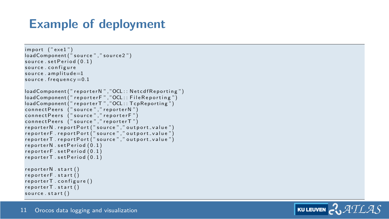### **Example of deployment**

```
import ('exe1'')loadComponen t ( " s o u r c e " , " s o u r c e 2 " )
source \ set Period (0, 1)source, configure
source. amplitude=1source, frequency = 0.1loadComponent (" reporter N", "OCL : : Netcdf Reporting")
loadComponent (" reporter F", "OCL:: File Reporting")
loadComponent (" reporter T", "OCL:: TcpReporting")
connect Peers (" source", " reporter N")
\frac{1}{2} connect Peers \int " source ", " reporter F "
connect Peers (" source", " reporter T")
reporterN.reportPort ("source"." outport_value")
reporterF.reportPort ("source"," outport_value")
reporterT.reportPort ("source","outport_value")
reporter N.setPeriod(0.1)renorter F.setPeriod (0.1)reporterT.setPeriod(0.1)reporterN.start()
reporterF . start ()reporterT.configure()
reporterT.start()source . start()
```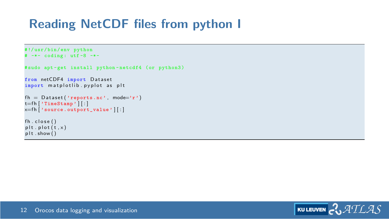## **Reading NetCDF files from python I**

```
#!/ usr / bin / env python
# -*- coding : utf -8 -*-
# sudo apt-get install python-netcdf4 (or python3)
from netCDF4 import Dataset
import matplotlib . pvplot as plt
fh = Dataset ('reports.nc', mode='r')
t=f h | 'TimeStamp' | | : |x=f h \left[ 'source. outport_value ' || \cdot ||fh. close()plt. plot(t, x)plt : show()
```